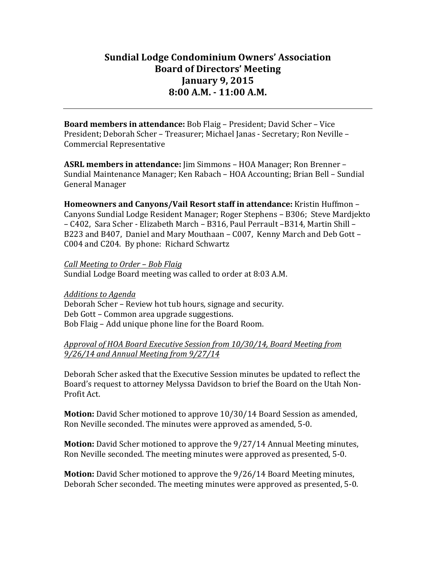# **Sundial Lodge Condominium Owners' Association Board of Directors' Meeting January 9, 2015 8:00 A.M. - 11:00 A.M.**

**Board members in attendance:** Bob Flaig – President; David Scher – Vice President; Deborah Scher – Treasurer; Michael Janas - Secretary; Ron Neville – Commercial Representative

**ASRL members in attendance:** Jim Simmons – HOA Manager; Ron Brenner – Sundial Maintenance Manager; Ken Rabach – HOA Accounting; Brian Bell – Sundial General Manager

**Homeowners and Canyons/Vail Resort staff in attendance:** Kristin Huffmon -Canyons Sundial Lodge Resident Manager; Roger Stephens – B306; Steve Mardjekto – C402, Sara Scher - Elizabeth March – B316, Paul Perrault –B314, Martin Shill – B223 and B407, Daniel and Mary Mouthaan - C007, Kenny March and Deb Gott -C004 and C204. By phone: Richard Schwartz

*Call Meeting to Order – Bob Flaig* Sundial Lodge Board meeting was called to order at 8:03 A.M.

*Additions to Agenda* Deborah Scher - Review hot tub hours, signage and security. Deb Gott – Common area upgrade suggestions. Bob Flaig – Add unique phone line for the Board Room.

#### *Approval of HOA Board Executive Session from 10/30/14, Board Meeting from 9/26/14 and Annual Meeting from 9/27/14*

Deborah Scher asked that the Executive Session minutes be updated to reflect the Board's request to attorney Melyssa Davidson to brief the Board on the Utah Non-Profit Act.

**Motion:** David Scher motioned to approve 10/30/14 Board Session as amended, Ron Neville seconded. The minutes were approved as amended, 5-0.

**Motion:** David Scher motioned to approve the  $9/27/14$  Annual Meeting minutes, Ron Neville seconded. The meeting minutes were approved as presented, 5-0.

**Motion:** David Scher motioned to approve the 9/26/14 Board Meeting minutes, Deborah Scher seconded. The meeting minutes were approved as presented, 5-0.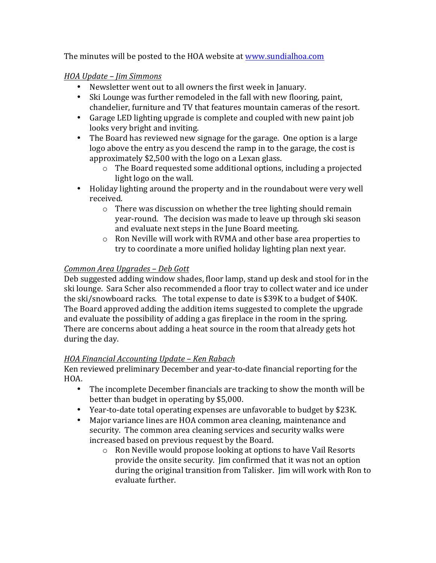The minutes will be posted to the HOA website at www.sundialhoa.com

### *HOA Update – Jim Simmons*

- Newsletter went out to all owners the first week in January.
- Ski Lounge was further remodeled in the fall with new flooring, paint, chandelier, furniture and TV that features mountain cameras of the resort.
- Garage LED lighting upgrade is complete and coupled with new paint job looks very bright and inviting.
- The Board has reviewed new signage for the garage. One option is a large logo above the entry as you descend the ramp in to the garage, the cost is approximately \$2,500 with the logo on a Lexan glass.
	- $\circ$  The Board requested some additional options, including a projected light logo on the wall.
- Holiday lighting around the property and in the roundabout were very well received.
	- $\circ$  There was discussion on whether the tree lighting should remain year-round. The decision was made to leave up through ski season and evaluate next steps in the June Board meeting.
	- $\circ$  Ron Neville will work with RVMA and other base area properties to try to coordinate a more unified holiday lighting plan next year.

# *Common Area Upgrades – Deb Gott*

Deb suggested adding window shades, floor lamp, stand up desk and stool for in the ski lounge. Sara Scher also recommended a floor tray to collect water and ice under the ski/snowboard racks. The total expense to date is \$39K to a budget of \$40K. The Board approved adding the addition items suggested to complete the upgrade and evaluate the possibility of adding a gas fireplace in the room in the spring. There are concerns about adding a heat source in the room that already gets hot during the day.

# *HOA Financial Accounting Update – Ken Rabach*

Ken reviewed preliminary December and year-to-date financial reporting for the HOA.

- The incomplete December financials are tracking to show the month will be better than budget in operating by \$5,000.
- Year-to-date total operating expenses are unfavorable to budget by \$23K.
- Major variance lines are HOA common area cleaning, maintenance and security. The common area cleaning services and security walks were increased based on previous request by the Board.
	- $\circ$  Ron Neville would propose looking at options to have Vail Resorts provide the onsite security. Jim confirmed that it was not an option during the original transition from Talisker. Iim will work with Ron to evaluate further.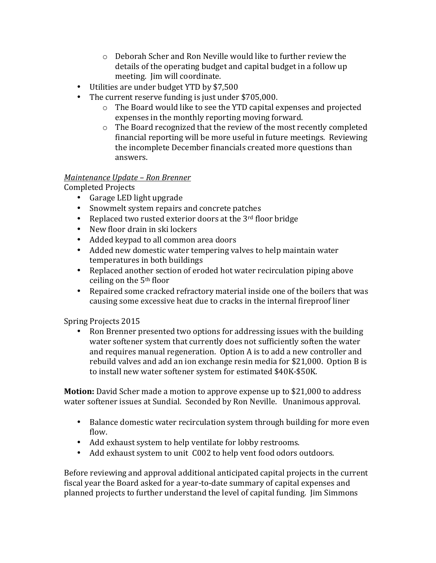- $\circ$  Deborah Scher and Ron Neville would like to further review the details of the operating budget and capital budget in a follow up meeting. Iim will coordinate.
- Utilities are under budget YTD by \$7,500
- The current reserve funding is just under \$705,000.
	- $\circ$  The Board would like to see the YTD capital expenses and projected expenses in the monthly reporting moving forward.
	- $\circ$  The Board recognized that the review of the most recently completed financial reporting will be more useful in future meetings. Reviewing the incomplete December financials created more questions than answers.

# *Maintenance Update – Ron Brenner*

Completed Projects

- Garage LED light upgrade
- Snowmelt system repairs and concrete patches
- Replaced two rusted exterior doors at the  $3<sup>rd</sup>$  floor bridge
- New floor drain in ski lockers
- Added keypad to all common area doors
- Added new domestic water tempering valves to help maintain water temperatures in both buildings
- Replaced another section of eroded hot water recirculation piping above ceiling on the  $5<sup>th</sup>$  floor
- Repaired some cracked refractory material inside one of the boilers that was causing some excessive heat due to cracks in the internal fireproof liner

Spring Projects 2015

• Ron Brenner presented two options for addressing issues with the building water softener system that currently does not sufficiently soften the water and requires manual regeneration. Option A is to add a new controller and rebuild valves and add an ion exchange resin media for \$21,000. Option B is to install new water softener system for estimated \$40K-\$50K.

**Motion:** David Scher made a motion to approve expense up to \$21,000 to address water softener issues at Sundial. Seconded by Ron Neville. Unanimous approval.

- Balance domestic water recirculation system through building for more even flow.
- Add exhaust system to help ventilate for lobby restrooms.
- Add exhaust system to unit C002 to help vent food odors outdoors.

Before reviewing and approval additional anticipated capital projects in the current fiscal year the Board asked for a year-to-date summary of capital expenses and planned projects to further understand the level of capital funding. I im Simmons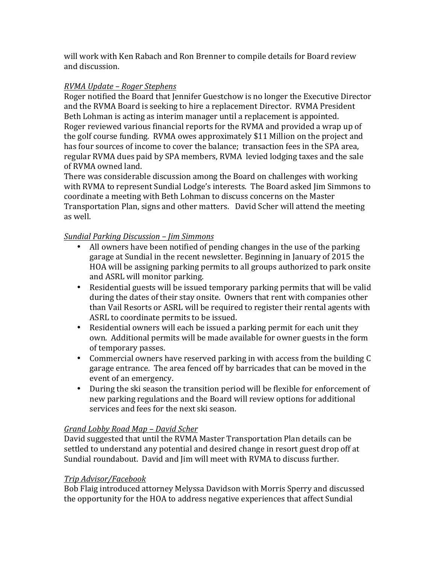will work with Ken Rabach and Ron Brenner to compile details for Board review and discussion.

# *RVMA Update – Roger Stephens*

Roger notified the Board that Jennifer Guestchow is no longer the Executive Director and the RVMA Board is seeking to hire a replacement Director. RVMA President Beth Lohman is acting as interim manager until a replacement is appointed. Roger reviewed various financial reports for the RVMA and provided a wrap up of the golf course funding. RVMA owes approximately \$11 Million on the project and has four sources of income to cover the balance; transaction fees in the SPA area, regular RVMA dues paid by SPA members, RVMA levied lodging taxes and the sale of RVMA owned land.

There was considerable discussion among the Board on challenges with working with RVMA to represent Sundial Lodge's interests. The Board asked Jim Simmons to coordinate a meeting with Beth Lohman to discuss concerns on the Master Transportation Plan, signs and other matters. David Scher will attend the meeting as well. 

### *Sundial Parking Discussion – Jim Simmons*

- All owners have been notified of pending changes in the use of the parking garage at Sundial in the recent newsletter. Beginning in January of 2015 the HOA will be assigning parking permits to all groups authorized to park onsite and ASRL will monitor parking.
- Residential guests will be issued temporary parking permits that will be valid during the dates of their stay onsite. Owners that rent with companies other than Vail Resorts or ASRL will be required to register their rental agents with ASRL to coordinate permits to be issued.
- Residential owners will each be issued a parking permit for each unit they own. Additional permits will be made available for owner guests in the form of temporary passes.
- Commercial owners have reserved parking in with access from the building C garage entrance. The area fenced off by barricades that can be moved in the event of an emergency.
- During the ski season the transition period will be flexible for enforcement of new parking regulations and the Board will review options for additional services and fees for the next ski season.

# *Grand Lobby Road Map – David Scher*

David suggested that until the RVMA Master Transportation Plan details can be settled to understand any potential and desired change in resort guest drop off at Sundial roundabout. David and Jim will meet with RVMA to discuss further.

#### *Trip Advisor/Facebook*

Bob Flaig introduced attorney Melyssa Davidson with Morris Sperry and discussed the opportunity for the HOA to address negative experiences that affect Sundial